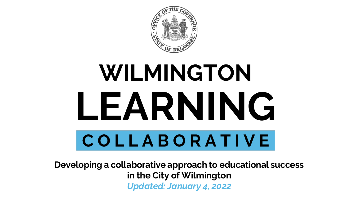

# WILMINGTON LEARNING COLLABORATIVE

**Developing a collaborative approach to educational success in the City of Wilmington** *Updated: January 4, 2022*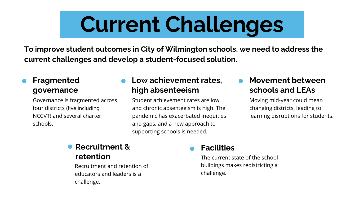# **Current Challenges**

**To improve student outcomes in City of Wilmington schools, we need to address the current challenges and develop a student-focused solution.** 

### **Fragmented governance**

Governance is fragmented across four districts (five including NCCVT) and several charter schools.

### **Low achievement rates, high absenteeism**

Student achievement rates are low and chronic absenteeism is high. The pandemic has exacerbated inequities and gaps, and a new approach to supporting schools is needed.

### **Movement between schools and LEAs**

Moving mid-year could mean changing districts, leading to learning disruptions for students.

# **Recruitment &**

Recruitment and retention of educators and leaders is a challenge.

### **Facilities**

**retention retention The current state of the school** buildings makes redistricting a challenge.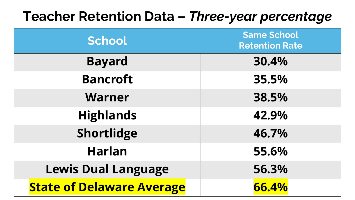## **Teacher Retention Data –** *Three-year percentage*

| School                           | <b>Same School</b><br><b>Retention Rate</b> |
|----------------------------------|---------------------------------------------|
| <b>Bayard</b>                    | 30.4%                                       |
| <b>Bancroft</b>                  | 35.5%                                       |
| <b>Warner</b>                    | 38.5%                                       |
| <b>Highlands</b>                 | 42.9%                                       |
| Shortlidge                       | 46.7%                                       |
| <b>Harlan</b>                    | 55.6%                                       |
| <b>Lewis Dual Language</b>       | 56.3%                                       |
| <b>State of Delaware Average</b> | 66.4%                                       |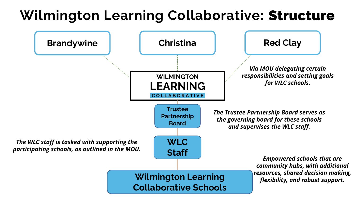## **Wilmington Learning Collaborative: Structure**

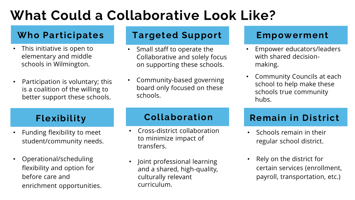## **What Could a Collaborative Look Like?**

### **Who Participates**

- This initiative is open to elementary and middle schools in Wilmington.
- Participation is voluntary; this is a coalition of the willing to better support these schools.

### **Targeted Support**

- Small staff to operate the Collaborative and solely focus on supporting these schools.
- Community-based governing board only focused on these schools.

### **Empowerment**

- Empower educators/leaders with shared decisionmaking.
- Community Councils at each school to help make these schools true community hubs.

- Funding flexibility to meet student/community needs.
- Operational/scheduling flexibility and option for before care and enrichment opportunities.

### **Flexibility Collaboration**

- Cross-district collaboration to minimize impact of transfers.
- Joint professional learning and a shared, high-quality, culturally relevant curriculum.

## **Remain in District**

- Schools remain in their regular school district.
- Rely on the district for certain services (enrollment, payroll, transportation, etc.)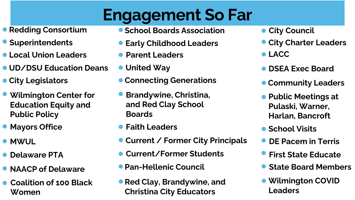# **Engagement So Far**

- **Redding Consortium**
- 
- **Local Union Leaders**
- **UD/DSU Education Deans**
- **City Legislators**
- **Wilmington Center for Education Equity and Public Policy**
- **Mayors Office**
- **MWUL**
- 
- **NAACP of Delaware**
- **Coalition of 100 Black Women**
- **School Boards Association**
- **C** Superintendents **CEA** Early Childhood Leaders
	- **Parent Leaders CONSTRUCTER <b>CONSTRUCTER CONSTRUCTER**
	- **United Way**
	- **Connecting Generations**
	- **Brandywine, Christina, and Red Clay School Boards**
	- **Faith Leaders**
	- **Current / Former City Principals**
- **O** Delaware PTA **Current/Former Students Current/Former Students P** First State Educate
	- **Pan-Hellenic Council**
	- **Red Clay, Brandywine, and Christina City Educators**
- **City Council**
- **City Charter Leaders**
- 
- **DSEA Exec Board**
- **Community Leaders**
- **Public Meetings at Pulaski, Warner, Harlan, Bancroft**
- **School Visits**
- **DE Pacem in Terris**
- 
- **State Board Members**
- **Wilmington COVID Leaders**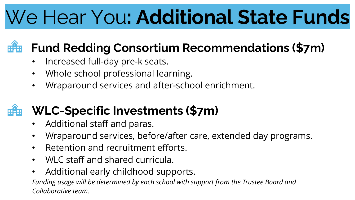# We Hear You**: Additional State Funds**

## **Fund Redding Consortium Recommendations (\$7m)**

- Increased full-day pre-k seats.
- Whole school professional learning.
- Wraparound services and after-school enrichment.

## **WLC-Specific Investments (\$7m)**

- Additional staff and paras.
- Wraparound services, before/after care, extended day programs.
- Retention and recruitment efforts.
- WLC staff and shared curricula.
- Additional early childhood supports.

*Funding usage will be determined by each school with support from the Trustee Board and Collaborative team.*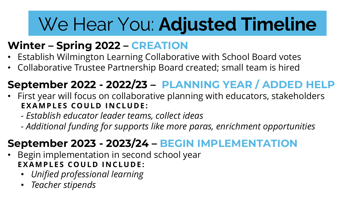# We Hear You: **Adjusted Timeline**

## **Winter – Spring 2022 – CREATION**

- Establish Wilmington Learning Collaborative with School Board votes
- Collaborative Trustee Partnership Board created; small team is hired

## **September 2022 - 2022/23 – PLANNING YEAR / ADDED HELP**

- First year will focus on collaborative planning with educators, stakeholders **EXAMPLES COULD INCLUDE:** 
	- *- Establish educator leader teams, collect ideas*
	- *- Additional funding for supports like more paras, enrichment opportunities*

## **September 2023 - 2023/24 – BEGIN IMPLEMENTATION**

- Begin implementation in second school year **EXAMPLES COULD INCLUDE:** 
	- *Unified professional learning*
	- *Teacher stipends*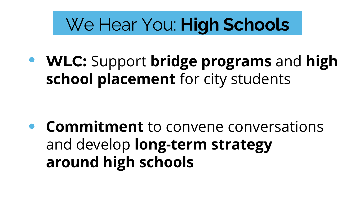# We Hear You: **High Schools**

**WLC:** Support **bridge programs** and **high school placement** for city students

**Commitment** to convene conversations and develop **long-term strategy around high schools**